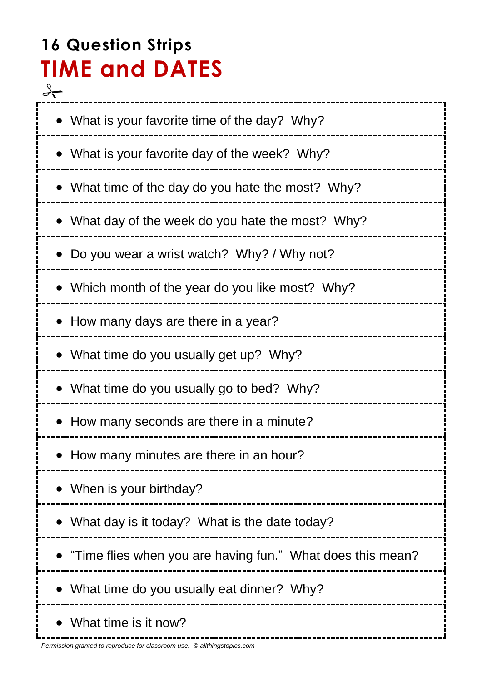# **16 Question Strips TIME and DATES**

 $\rightarrow$ • What is your favorite time of the day? Why? What is your favorite day of the week? Why? What time of the day do you hate the most? Why? What day of the week do you hate the most? Why? Do you wear a wrist watch? Why? / Why not? • Which month of the year do you like most? Why? • How many days are there in a year? • What time do you usually get up? Why? What time do you usually go to bed? Why? • How many seconds are there in a minute? • How many minutes are there in an hour? • When is your birthday? What day is it today? What is the date today? "Time flies when you are having fun." What does this mean? What time do you usually eat dinner? Why? • What time is it now?